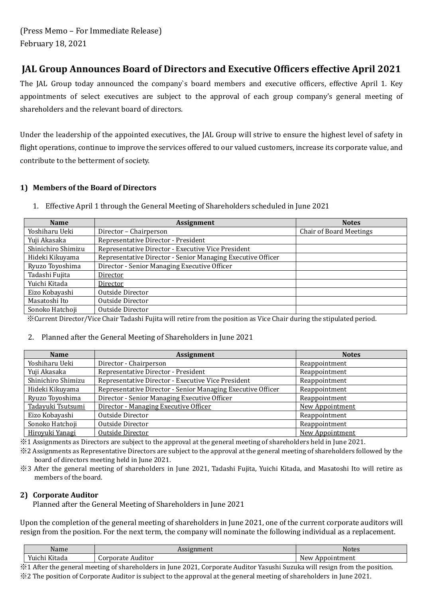## **JAL Group Announces Board of Directors and Executive Officers effective April 2021**

The JAL Group today announced the company`s board members and executive officers, effective April 1. Key appointments of select executives are subject to the approval of each group company's general meeting of shareholders and the relevant board of directors.

Under the leadership of the appointed executives, the JAL Group will strive to ensure the highest level of safety in flight operations, continue to improve the services offered to our valued customers, increase its corporate value, and contribute to the betterment of society.

#### **1) Members of the Board of Directors**

1. Effective April 1 through the General Meeting of Shareholders scheduled in June 2021

| <b>Name</b>        | <b>Assignment</b>                                           | <b>Notes</b>                   |  |
|--------------------|-------------------------------------------------------------|--------------------------------|--|
| Yoshiharu Ueki     | Director - Chairperson                                      | <b>Chair of Board Meetings</b> |  |
| Yuji Akasaka       | Representative Director - President                         |                                |  |
| Shinichiro Shimizu | Representative Director - Executive Vice President          |                                |  |
| Hideki Kikuyama    | Representative Director - Senior Managing Executive Officer |                                |  |
| Ryuzo Toyoshima    | Director - Senior Managing Executive Officer                |                                |  |
| Tadashi Fujita     | Director                                                    |                                |  |
| Yuichi Kitada      | Director                                                    |                                |  |
| Eizo Kobayashi     | Outside Director                                            |                                |  |
| Masatoshi Ito      | Outside Director                                            |                                |  |
| Sonoko Hatchoji    | Outside Director                                            |                                |  |

※Current Director/Vice Chair Tadashi Fujita will retire from the position as Vice Chair during the stipulated period.

#### 2. Planned after the General Meeting of Shareholders in June 2021

| <b>Name</b>        | <b>Assignment</b>                                           | <b>Notes</b>           |
|--------------------|-------------------------------------------------------------|------------------------|
| Yoshiharu Ueki     | Director - Chairperson                                      | Reappointment          |
| Yuji Akasaka       | Representative Director - President                         | Reappointment          |
| Shinichiro Shimizu | Representative Director - Executive Vice President          | Reappointment          |
| Hideki Kikuyama    | Representative Director - Senior Managing Executive Officer | Reappointment          |
| Ryuzo Toyoshima    | Director - Senior Managing Executive Officer                | Reappointment          |
| Tadayuki Tsutsumi  | Director - Managing Executive Officer                       | New Appointment        |
| Eizo Kobayashi     | Outside Director                                            | Reappointment          |
| Sonoko Hatchoji    | Outside Director                                            | Reappointment          |
| Hiroyuki Yanagi    | Outside Director                                            | <b>New Appointment</b> |

※1 Assignments as Directors are subject to the approval at the general meeting of shareholders held in June 2021.

※2 Assignments as Representative Directors are subject to the approval at the general meeting of shareholders followed by the board of directors meeting held in June 2021.

※3 After the general meeting of shareholders in June 2021, Tadashi Fujita, Yuichi Kitada, and Masatoshi Ito will retire as members of the board.

#### **2) Corporate Auditor**

Planned after the General Meeting of Shareholders in June 2021

Upon the completion of the general meeting of shareholders in June 2021, one of the current corporate auditors will resign from the position. For the next term, the company will nominate the following individual as a replacement.

| Name                                                      | max<br>шпеш<br>נטנג  | Notes                          |
|-----------------------------------------------------------|----------------------|--------------------------------|
| $T$ $T$ $T$<br>$\mathbf{v}$ .<br>Yuıchi<br>Kitada<br>- ur | Corporate<br>Auditor | <b>New</b><br>ıntment<br>nnoin |

※1 After the general meeting of shareholders in June 2021, Corporate Auditor Yasushi Suzuka will resign from the position. ※2 The position of Corporate Auditor is subject to the approval at the general meeting of shareholders in June 2021.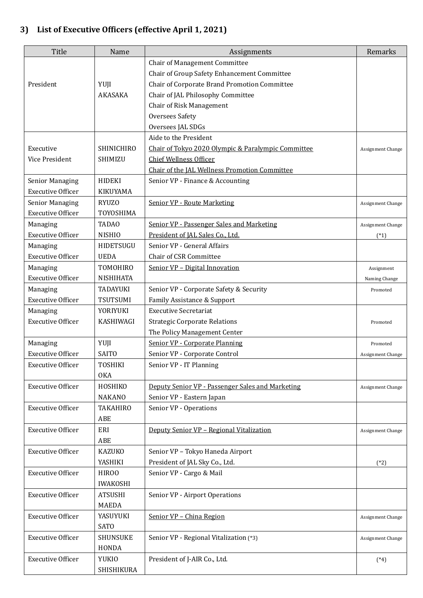# **3) List of Executive Officers (effective April 1, 2021)**

| <b>Title</b>             | Name              | Assignments                                        | Remarks                  |
|--------------------------|-------------------|----------------------------------------------------|--------------------------|
|                          |                   | Chair of Management Committee                      |                          |
|                          |                   | Chair of Group Safety Enhancement Committee        |                          |
| President                | YUJI              | Chair of Corporate Brand Promotion Committee       |                          |
|                          | AKASAKA           | Chair of JAL Philosophy Committee                  |                          |
|                          |                   | Chair of Risk Management                           |                          |
|                          |                   | <b>Oversees Safety</b>                             |                          |
|                          |                   | Oversees JAL SDGs                                  |                          |
|                          |                   | Aide to the President                              |                          |
| Executive                | <b>SHINICHIRO</b> | Chair of Tokyo 2020 Olympic & Paralympic Committee | Assignment Change        |
| Vice President           | SHIMIZU           | <b>Chief Wellness Officer</b>                      |                          |
|                          |                   | Chair of the JAL Wellness Promotion Committee      |                          |
| <b>Senior Managing</b>   | <b>HIDEKI</b>     | Senior VP - Finance & Accounting                   |                          |
| <b>Executive Officer</b> | <b>KIKUYAMA</b>   |                                                    |                          |
| <b>Senior Managing</b>   | <b>RYUZO</b>      | <b>Senior VP - Route Marketing</b>                 | Assignment Change        |
| <b>Executive Officer</b> | TOYOSHIMA         |                                                    |                          |
| Managing                 | <b>TADAO</b>      | Senior VP - Passenger Sales and Marketing          | Assignment Change        |
| <b>Executive Officer</b> | <b>NISHIO</b>     | President of JAL Sales Co., Ltd.                   | $(*1)$                   |
| Managing                 | <b>HIDETSUGU</b>  | Senior VP - General Affairs                        |                          |
| <b>Executive Officer</b> | <b>UEDA</b>       | <b>Chair of CSR Committee</b>                      |                          |
| Managing                 | <b>TOMOHIRO</b>   | Senior VP - Digital Innovation                     | Assignment               |
| <b>Executive Officer</b> | <b>NISHIHATA</b>  |                                                    | Naming Change            |
| Managing                 | TADAYUKI          | Senior VP - Corporate Safety & Security            | Promoted                 |
| <b>Executive Officer</b> | TSUTSUMI          | Family Assistance & Support                        |                          |
| Managing                 | YORIYUKI          | <b>Executive Secretariat</b>                       |                          |
| <b>Executive Officer</b> | <b>KASHIWAGI</b>  | <b>Strategic Corporate Relations</b>               | Promoted                 |
|                          |                   | The Policy Management Center                       |                          |
| Managing                 | YUJI              | Senior VP - Corporate Planning                     | Promoted                 |
| <b>Executive Officer</b> | <b>SAITO</b>      | Senior VP - Corporate Control                      | Assignment Change        |
| <b>Executive Officer</b> | <b>TOSHIKI</b>    | Senior VP - IT Planning                            |                          |
|                          | <b>OKA</b>        |                                                    |                          |
| <b>Executive Officer</b> | HOSHIKO           | Deputy Senior VP - Passenger Sales and Marketing   | Assignment Change        |
|                          | <b>NAKANO</b>     | Senior VP - Eastern Japan                          |                          |
| <b>Executive Officer</b> | <b>TAKAHIRO</b>   | Senior VP - Operations                             |                          |
|                          | ABE               |                                                    |                          |
| <b>Executive Officer</b> | ERI               | Deputy Senior VP - Regional Vitalization           | Assignment Change        |
|                          | ABE               |                                                    |                          |
| <b>Executive Officer</b> | <b>KAZUKO</b>     | Senior VP - Tokyo Haneda Airport                   |                          |
|                          | YASHIKI           | President of JAL Sky Co., Ltd.                     | $(*2)$                   |
| <b>Executive Officer</b> | <b>HIROO</b>      | Senior VP - Cargo & Mail                           |                          |
|                          | <b>IWAKOSHI</b>   |                                                    |                          |
| <b>Executive Officer</b> | <b>ATSUSHI</b>    | Senior VP - Airport Operations                     |                          |
|                          | <b>MAEDA</b>      |                                                    |                          |
| <b>Executive Officer</b> | YASUYUKI          | Senior VP - China Region                           | Assignment Change        |
|                          | <b>SATO</b>       |                                                    |                          |
| <b>Executive Officer</b> | <b>SHUNSUKE</b>   | Senior VP - Regional Vitalization (*3)             | <b>Assignment Change</b> |
|                          | HONDA             |                                                    |                          |
| <b>Executive Officer</b> | <b>YUKIO</b>      | President of J-AIR Co., Ltd.                       | $(*4)$                   |
|                          | SHISHIKURA        |                                                    |                          |